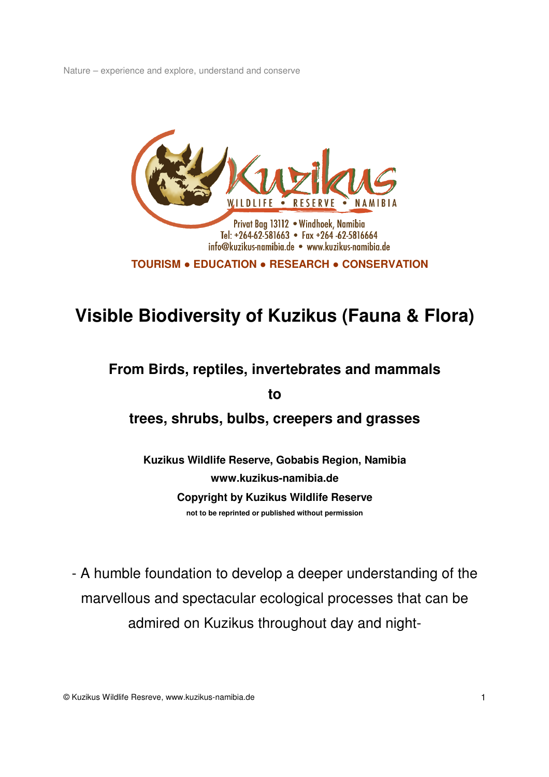

# **Visible Biodiversity of Kuzikus (Fauna & Flora)**

# **From Birds, reptiles, invertebrates and mammals**

**to** 

**trees, shrubs, bulbs, creepers and grasses** 

**Kuzikus Wildlife Reserve, Gobabis Region, Namibia www.kuzikus-namibia.de Copyright by Kuzikus Wildlife Reserve not to be reprinted or published without permission**

- A humble foundation to develop a deeper understanding of the marvellous and spectacular ecological processes that can be admired on Kuzikus throughout day and night-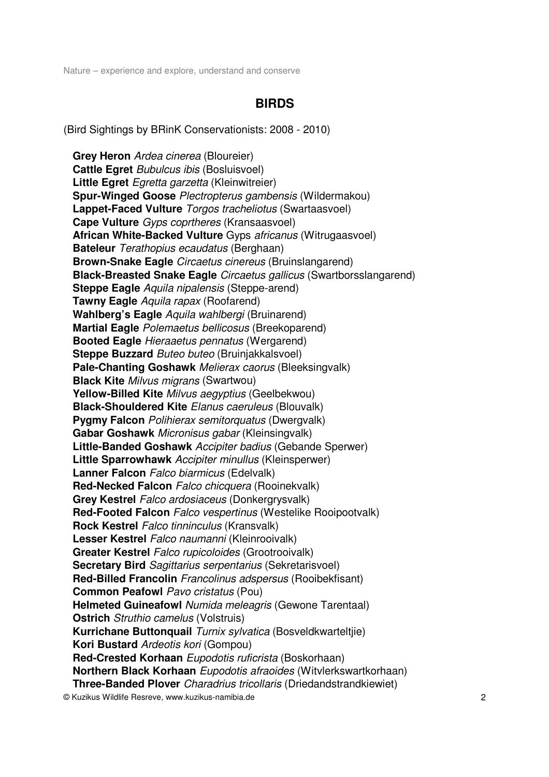## **BIRDS**

(Bird Sightings by BRinK Conservationists: 2008 - 2010)

 **Grey Heron** Ardea cinerea (Bloureier) **Cattle Egret** *Bubulcus ibis* (Bosluisvoel) **Little Egret** Egretta garzetta (Kleinwitreier) **Spur-Winged Goose** Plectropterus gambensis (Wildermakou) **Lappet-Faced Vulture** Torgos tracheliotus (Swartaasvoel) **Cape Vulture** Gyps coprtheres (Kransaasvoel) **African White-Backed Vulture** Gyps africanus (Witrugaasvoel) **Bateleur** Terathopius ecaudatus (Berghaan) **Brown-Snake Eagle** Circaetus cinereus (Bruinslangarend) **Black-Breasted Snake Eagle** Circaetus gallicus (Swartborsslangarend) **Steppe Eagle** Aquila nipalensis (Steppe-arend) **Tawny Eagle** Aquila rapax (Roofarend) **Wahlberg's Eagle** Aquila wahlbergi (Bruinarend) **Martial Eagle** Polemaetus bellicosus (Breekoparend) **Booted Eagle** Hieraaetus pennatus (Wergarend) **Steppe Buzzard** *Buteo buteo* (Bruinjakkalsvoel) **Pale-Chanting Goshawk** Melierax caorus (Bleeksingvalk) **Black Kite** Milvus migrans (Swartwou) **Yellow-Billed Kite** Milvus aegyptius (Geelbekwou) **Black-Shouldered Kite** Elanus caeruleus (Blouvalk) **Pygmy Falcon** Polihierax semitorquatus (Dwergvalk) **Gabar Goshawk** Micronisus gabar (Kleinsingvalk) **Little-Banded Goshawk** Accipiter badius (Gebande Sperwer) **Little Sparrowhawk** Accipiter minullus (Kleinsperwer) **Lanner Falcon** Falco biarmicus (Edelvalk) **Red-Necked Falcon** Falco chicquera (Rooinekvalk) **Grey Kestrel** Falco ardosiaceus (Donkergrysvalk) **Red-Footed Falcon** Falco vespertinus (Westelike Rooipootvalk) **Rock Kestrel Falco tinninculus (Kransvalk) Lesser Kestrel** Falco naumanni (Kleinrooivalk) **Greater Kestrel** Falco rupicoloides (Grootrooivalk) **Secretary Bird** Sagittarius serpentarius (Sekretarisvoel) **Red-Billed Francolin** Francolinus adspersus (Rooibekfisant) **Common Peafowl Pavo cristatus (Pou) Helmeted Guineafowl** Numida meleagris (Gewone Tarentaal) **Ostrich** *Struthio camelus* (Volstruis) **Kurrichane Buttonquail** Turnix sylvatica (Bosveldkwarteltjie) **Kori Bustard** Ardeotis kori (Gompou) **Red-Crested Korhaan** Eupodotis ruficrista (Boskorhaan) **Northern Black Korhaan** Eupodotis afraoides (Witvlerkswartkorhaan) **Three-Banded Plover** Charadrius tricollaris (Driedandstrandkiewiet)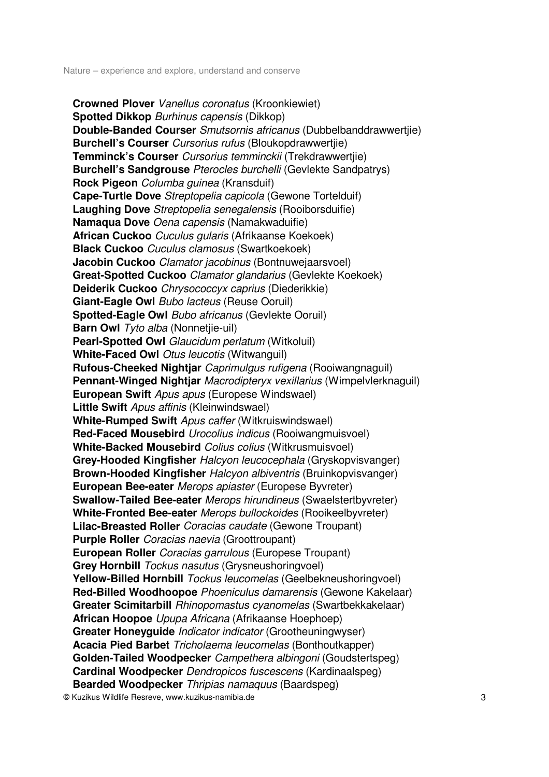**Crowned Plover** Vanellus coronatus (Kroonkiewiet) **Spotted Dikkop** *Burhinus capensis* (Dikkop) **Double-Banded Courser** Smutsornis africanus (Dubbelbanddrawwertjie) **Burchell's Courser** Cursorius rufus (Bloukopdrawwertjie) **Temminck's Courser** Cursorius temminckii (Trekdrawwertjie) **Burchell's Sandgrouse** Pterocles burchelli (Gevlekte Sandpatrys) **Rock Pigeon** Columba guinea (Kransduif) **Cape-Turtle Dove** Streptopelia capicola (Gewone Tortelduif) **Laughing Dove** Streptopelia senegalensis (Rooiborsduifie) **Namaqua Dove** Oena capensis (Namakwaduifie) **African Cuckoo** Cuculus gularis (Afrikaanse Koekoek) **Black Cuckoo** Cuculus clamosus (Swartkoekoek) **Jacobin Cuckoo** Clamator jacobinus (Bontnuwejaarsvoel) **Great-Spotted Cuckoo** Clamator glandarius (Gevlekte Koekoek) **Deiderik Cuckoo** Chrysococcyx caprius (Diederikkie) **Giant-Eagle Owl** Bubo lacteus (Reuse Ooruil) **Spotted-Eagle Owl** Bubo africanus (Gevlekte Ooruil) **Barn Owl** *Tyto alba* (Nonnetjie-uil) Pearl-Spotted Owl *Glaucidum perlatum* (Witkoluil) **White-Faced Owl** *Otus leucotis* (Witwanguil) **Rufous-Cheeked Nightjar** Caprimulgus rufigena (Rooiwangnaguil) **Pennant-Winged Nightjar** Macrodipteryx vexillarius (Wimpelvlerknaguil) **European Swift** Apus apus (Europese Windswael) **Little Swift** Apus affinis (Kleinwindswael) **White-Rumped Swift** Apus caffer (Witkruiswindswael) **Red-Faced Mousebird** Urocolius indicus (Rooiwangmuisvoel) **White-Backed Mousebird** Colius colius (Witkrusmuisvoel) **Grey-Hooded Kingfisher** Halcyon leucocephala (Gryskopvisvanger) **Brown-Hooded Kingfisher** Halcyon albiventris (Bruinkopvisvanger) **European Bee-eater** Merops apiaster (Europese Byvreter) **Swallow-Tailed Bee-eater** Merops hirundineus (Swaelstertbyvreter) **White-Fronted Bee-eater** Merops bullockoides (Rooikeelbyvreter) **Lilac-Breasted Roller** Coracias caudate (Gewone Troupant) **Purple Roller** Coracias naevia (Groottroupant) **European Roller** Coracias garrulous (Europese Troupant) **Grey Hornbill** Tockus nasutus (Grysneushoringvoel) **Yellow-Billed Hornbill** Tockus leucomelas (Geelbekneushoringvoel) **Red-Billed Woodhoopoe** Phoeniculus damarensis (Gewone Kakelaar) **Greater Scimitarbill** Rhinopomastus cyanomelas (Swartbekkakelaar) **African Hoopoe** Upupa Africana (Afrikaanse Hoephoep) **Greater Honeyguide** Indicator indicator (Grootheuningwyser) **Acacia Pied Barbet** Tricholaema leucomelas (Bonthoutkapper) **Golden-Tailed Woodpecker** Campethera albingoni (Goudstertspeg) **Cardinal Woodpecker** Dendropicos fuscescens (Kardinaalspeg) **Bearded Woodpecker** Thripias namaquus (Baardspeg)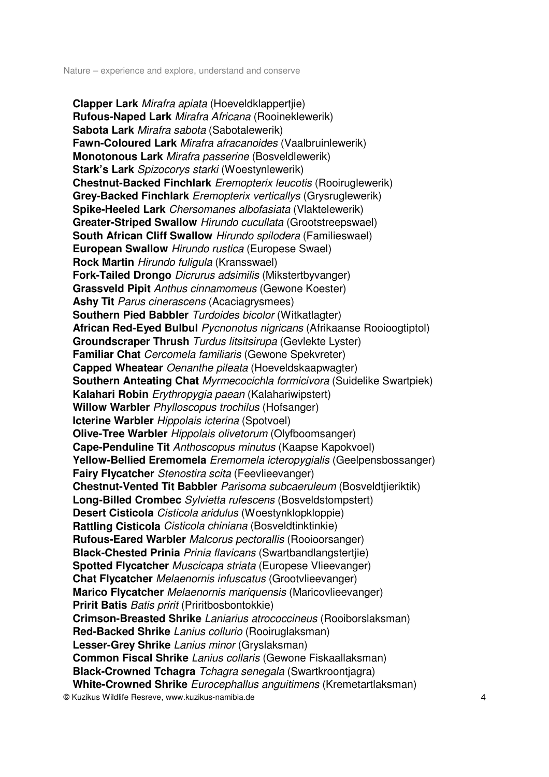© Kuzikus Wildlife Resreve, www.kuzikus-namibia.de 4 **Clapper Lark** Mirafra apiata (Hoeveldklappertjie) **Rufous-Naped Lark** Mirafra Africana (Rooineklewerik) **Sabota Lark** Mirafra sabota (Sabotalewerik) **Fawn-Coloured Lark** Mirafra afracanoides (Vaalbruinlewerik) **Monotonous Lark** Mirafra passerine (Bosveldlewerik) **Stark's Lark** Spizocorys starki (Woestynlewerik) **Chestnut-Backed Finchlark** Eremopterix leucotis (Rooiruglewerik) **Grey-Backed Finchlark** Eremopterix verticallys (Grysruglewerik) **Spike-Heeled Lark** Chersomanes albofasiata (Vlaktelewerik) **Greater-Striped Swallow** Hirundo cucullata (Grootstreepswael) **South African Cliff Swallow** Hirundo spilodera (Familieswael) **European Swallow** Hirundo rustica (Europese Swael) **Rock Martin** Hirundo fuligula (Kransswael) **Fork-Tailed Drongo** Dicrurus adsimilis (Mikstertbyvanger) **Grassveld Pipit** Anthus cinnamomeus (Gewone Koester) **Ashy Tit** Parus cinerascens (Acaciagrysmees) **Southern Pied Babbler** Turdoides bicolor (Witkatlagter) **African Red-Eyed Bulbul** Pycnonotus nigricans (Afrikaanse Rooioogtiptol) **Groundscraper Thrush** Turdus litsitsirupa (Gevlekte Lyster) **Familiar Chat** Cercomela familiaris (Gewone Spekvreter) **Capped Wheatear** Oenanthe pileata (Hoeveldskaapwagter) **Southern Anteating Chat** Myrmecocichla formicivora (Suidelike Swartpiek) **Kalahari Robin** Erythropygia paean (Kalahariwipstert) **Willow Warbler** Phylloscopus trochilus (Hofsanger) **Icterine Warbler** *Hippolais icterina* (Spotvoel) **Olive-Tree Warbler** Hippolais olivetorum (Olyfboomsanger) **Cape-Penduline Tit** Anthoscopus minutus (Kaapse Kapokvoel) **Yellow-Bellied Eremomela** Eremomela icteropygialis (Geelpensbossanger) **Fairy Flycatcher** Stenostira scita (Feevlieevanger) **Chestnut-Vented Tit Babbler** Parisoma subcaeruleum (Bosveldtjieriktik) **Long-Billed Crombec** Sylvietta rufescens (Bosveldstompstert) **Desert Cisticola** Cisticola aridulus (Woestynklopkloppie) **Rattling Cisticola** Cisticola chiniana (Bosveldtinktinkie) **Rufous-Eared Warbler** Malcorus pectorallis (Rooioorsanger) **Black-Chested Prinia** Prinia flavicans (Swartbandlangstertjie) **Spotted Flycatcher** Muscicapa striata (Europese Vlieevanger) **Chat Flycatcher** Melaenornis infuscatus (Grootvlieevanger) **Marico Flycatcher** Melaenornis mariquensis (Maricovlieevanger) **Pririt Batis** *Batis pririt* (Priritbosbontokkie) **Crimson-Breasted Shrike** Laniarius atrococcineus (Rooiborslaksman) **Red-Backed Shrike** Lanius collurio (Rooiruglaksman) **Lesser-Grey Shrike** Lanius minor (Gryslaksman) **Common Fiscal Shrike** Lanius collaris (Gewone Fiskaallaksman) **Black-Crowned Tchagra** Tchagra senegala (Swartkroontjagra) **White-Crowned Shrike** Eurocephallus anguitimens (Kremetartlaksman)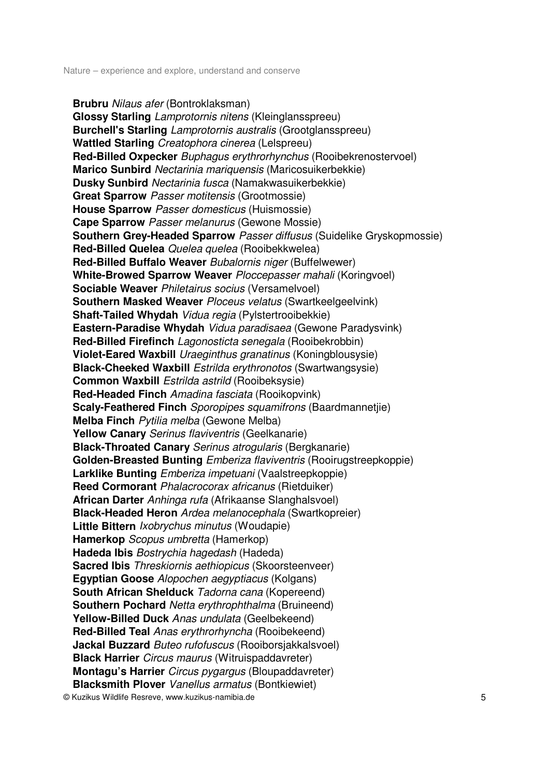**Brubru** Nilaus afer (Bontroklaksman) **Glossy Starling** Lamprotornis nitens (Kleinglansspreeu) **Burchell's Starling** Lamprotornis australis (Grootglansspreeu) **Wattled Starling** Creatophora cinerea (Lelspreeu) **Red-Billed Oxpecker** Buphagus erythrorhynchus (Rooibekrenostervoel) **Marico Sunbird** Nectarinia mariquensis (Maricosuikerbekkie) **Dusky Sunbird** Nectarinia fusca (Namakwasuikerbekkie) **Great Sparrow** Passer motitensis (Grootmossie) **House Sparrow** Passer domesticus (Huismossie) **Cape Sparrow** Passer melanurus (Gewone Mossie) **Southern Grey-Headed Sparrow** Passer diffusus (Suidelike Gryskopmossie) **Red-Billed Quelea** Quelea quelea (Rooibekkwelea) **Red-Billed Buffalo Weaver** Bubalornis niger (Buffelwewer) **White-Browed Sparrow Weaver** Ploccepasser mahali (Koringvoel) **Sociable Weaver** Philetairus socius (Versamelvoel) **Southern Masked Weaver** Ploceus velatus (Swartkeelgeelvink) **Shaft-Tailed Whydah** Vidua regia (Pylstertrooibekkie) **Eastern-Paradise Whydah** Vidua paradisaea (Gewone Paradysvink) **Red-Billed Firefinch** Lagonosticta senegala (Rooibekrobbin) **Violet-Eared Waxbill** Uraeginthus granatinus (Koningblousysie) **Black-Cheeked Waxbill** Estrilda erythronotos (Swartwangsysie) **Common Waxbill Estrilda astrild (Rooibeksysie) Red-Headed Finch** Amadina fasciata (Rooikopvink) **Scaly-Feathered Finch** Sporopipes squamifrons (Baardmannetjie) **Melba Finch** Pytilia melba (Gewone Melba) **Yellow Canary** Serinus flaviventris (Geelkanarie) **Black-Throated Canary** Serinus atrogularis (Bergkanarie) **Golden-Breasted Bunting** Emberiza flaviventris (Rooirugstreepkoppie) **Larklike Bunting** Emberiza impetuani (Vaalstreepkoppie) **Reed Cormorant** Phalacrocorax africanus (Rietduiker) **African Darter** Anhinga rufa (Afrikaanse Slanghalsvoel) **Black-Headed Heron** Ardea melanocephala (Swartkopreier) **Little Bittern** Ixobrychus minutus (Woudapie) **Hamerkop** *Scopus umbretta* (Hamerkop) **Hadeda Ibis** Bostrychia hagedash (Hadeda) **Sacred Ibis** Threskiornis aethiopicus (Skoorsteenveer) **Egyptian Goose** Alopochen aegyptiacus (Kolgans) **South African Shelduck** Tadorna cana (Kopereend) **Southern Pochard** Netta erythrophthalma (Bruineend) **Yellow-Billed Duck** Anas undulata (Geelbekeend) **Red-Billed Teal** Anas erythrorhyncha (Rooibekeend) **Jackal Buzzard** Buteo rufofuscus (Rooiborsjakkalsvoel) **Black Harrier** Circus maurus (Witruispaddavreter) **Montagu's Harrier** Circus pygargus (Bloupaddavreter) **Blacksmith Plover** Vanellus armatus (Bontkiewiet)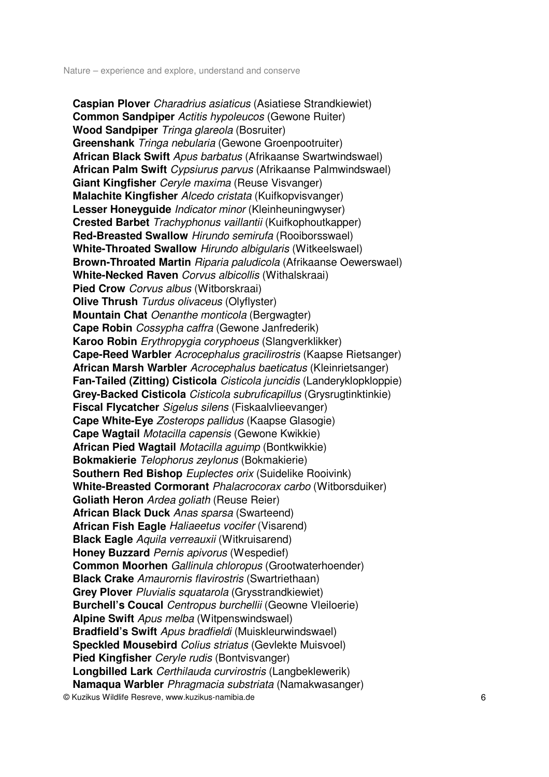© Kuzikus Wildlife Resreve, www.kuzikus-namibia.de 6 **Caspian Plover** Charadrius asiaticus (Asiatiese Strandkiewiet) **Common Sandpiper Actitis hypoleucos (Gewone Ruiter) Wood Sandpiper** Tringa glareola (Bosruiter) **Greenshank** Tringa nebularia (Gewone Groenpootruiter) **African Black Swift** Apus barbatus (Afrikaanse Swartwindswael) **African Palm Swift** Cypsiurus parvus (Afrikaanse Palmwindswael) **Giant Kingfisher** Ceryle maxima (Reuse Visvanger) **Malachite Kingfisher** Alcedo cristata (Kuifkopvisvanger) **Lesser Honeyguide** Indicator minor (Kleinheuningwyser) **Crested Barbet** Trachyphonus vaillantii (Kuifkophoutkapper) **Red-Breasted Swallow** Hirundo semirufa (Rooiborsswael) **White-Throated Swallow** Hirundo albigularis (Witkeelswael) **Brown-Throated Martin** Riparia paludicola (Afrikaanse Oewerswael) **White-Necked Raven** Corvus albicollis (Withalskraai) **Pied Crow** *Corvus albus* (Witborskraai) **Olive Thrush** Turdus olivaceus (Olyflyster) **Mountain Chat** Oenanthe monticola (Bergwagter) **Cape Robin** Cossypha caffra (Gewone Janfrederik) **Karoo Robin** Erythropygia coryphoeus (Slangverklikker) **Cape-Reed Warbler** Acrocephalus gracilirostris (Kaapse Rietsanger) **African Marsh Warbler** Acrocephalus baeticatus (Kleinrietsanger) **Fan-Tailed (Zitting) Cisticola** Cisticola juncidis (Landeryklopkloppie) **Grey-Backed Cisticola** Cisticola subruficapillus (Grysrugtinktinkie) **Fiscal Flycatcher** Sigelus silens (Fiskaalvlieevanger) **Cape White-Eye** Zosterops pallidus (Kaapse Glasogie) **Cape Wagtail** Motacilla capensis (Gewone Kwikkie) **African Pied Wagtail** Motacilla aguimp (Bontkwikkie) **Bokmakierie** Telophorus zeylonus (Bokmakierie) **Southern Red Bishop** *Euplectes orix* (Suidelike Rooivink) **White-Breasted Cormorant** Phalacrocorax carbo (Witborsduiker) **Goliath Heron** Ardea goliath (Reuse Reier) **African Black Duck** Anas sparsa (Swarteend) **African Fish Eagle** Haliaeetus vocifer (Visarend) **Black Eagle** Aquila verreauxii (Witkruisarend) **Honey Buzzard** Pernis apivorus (Wespedief) **Common Moorhen** Gallinula chloropus (Grootwaterhoender) **Black Crake** Amaurornis flavirostris (Swartriethaan) **Grey Plover** Pluvialis squatarola (Grysstrandkiewiet) **Burchell's Coucal** Centropus burchellii (Geowne Vleiloerie) **Alpine Swift** Apus melba (Witpenswindswael) **Bradfield's Swift** Apus bradfieldi (Muiskleurwindswael) **Speckled Mousebird** Colius striatus (Gevlekte Muisvoel) **Pied Kingfisher** Ceryle rudis (Bontvisvanger) **Longbilled Lark** Certhilauda curvirostris (Langbeklewerik) **Namaqua Warbler** Phragmacia substriata (Namakwasanger)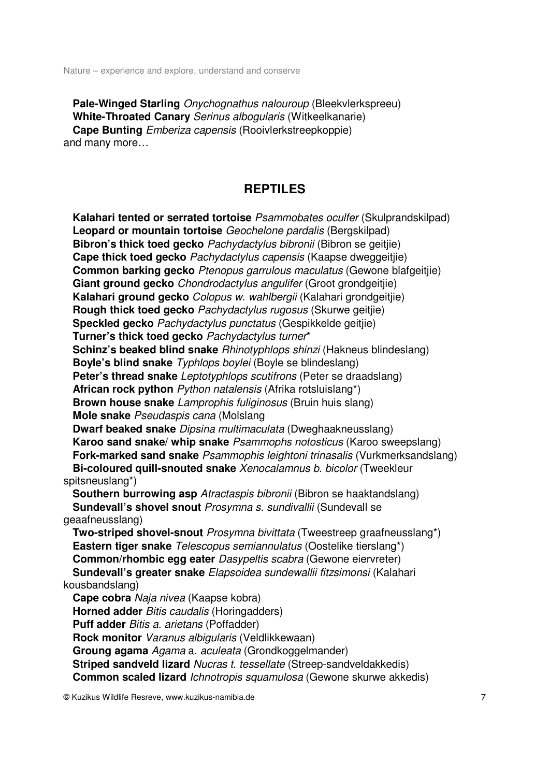**Pale-Winged Starling** Onychognathus nalouroup (Bleekvlerkspreeu) **White-Throated Canary** Serinus albogularis (Witkeelkanarie) **Cape Bunting** Emberiza capensis (Rooivlerkstreepkoppie) and many more…

# **REPTILES**

 **Kalahari tented or serrated tortoise** Psammobates oculfer (Skulprandskilpad) **Leopard or mountain tortoise** Geochelone pardalis (Bergskilpad) **Bibron's thick toed gecko** Pachydactylus bibronii (Bibron se geitjie) **Cape thick toed gecko** Pachydactylus capensis (Kaapse dweggeitjie) **Common barking gecko** Ptenopus garrulous maculatus (Gewone blafgeitije) **Giant ground gecko** Chondrodactylus angulifer (Groot grondgeitjie) **Kalahari ground gecko** Colopus w. wahlbergii (Kalahari grondgeitjie) **Rough thick toed gecko** Pachydactylus rugosus (Skurwe geitije) **Speckled gecko** Pachydactylus punctatus (Gespikkelde geitjie) **Turner's thick toed gecko** Pachydactylus turner\* **Schinz's beaked blind snake** Rhinotyphlops shinzi (Hakneus blindeslang) **Boyle's blind snake** Typhlops boylei (Boyle se blindeslang) **Peter's thread snake** Leptotyphlops scutifrons (Peter se draadslang) **African rock python** Python natalensis (Afrika rotsluislang\*) **Brown house snake** Lamprophis fuliginosus (Bruin huis slang) **Mole snake** Pseudaspis cana (Molslang **Dwarf beaked snake** Dipsina multimaculata (Dweghaakneusslang) **Karoo sand snake/ whip snake** Psammophs notosticus (Karoo sweepslang) **Fork-marked sand snake** Psammophis leightoni trinasalis (Vurkmerksandslang) **Bi-coloured quill-snouted snake** Xenocalamnus b. bicolor (Tweekleur spitsneuslang\*) **Southern burrowing asp** Atractaspis bibronii (Bibron se haaktandslang) **Sundevall's shovel snout** Prosymna s. sundivallii (Sundevall se geaafneusslang) **Two-striped shovel-snout** Prosymna bivittata (Tweestreep graafneusslang\*) **Eastern tiger snake** Telescopus semiannulatus (Oostelike tierslang\*) **Common/rhombic egg eater** Dasypeltis scabra (Gewone eiervreter) **Sundevall's greater snake** Elapsoidea sundewallii fitzsimonsi (Kalahari kousbandslang) **Cape cobra** Naja nivea (Kaapse kobra) **Horned adder** *Bitis caudalis* (Horingadders) **Puff adder** Bitis a. arietans (Poffadder) **Rock monitor** Varanus albigularis (Veldlikkewaan) **Groung agama** Agama a. aculeata (Grondkoggelmander) **Striped sandveld lizard** Nucras t. tessellate (Streep-sandveldakkedis) **Common scaled lizard** Ichnotropis squamulosa (Gewone skurwe akkedis)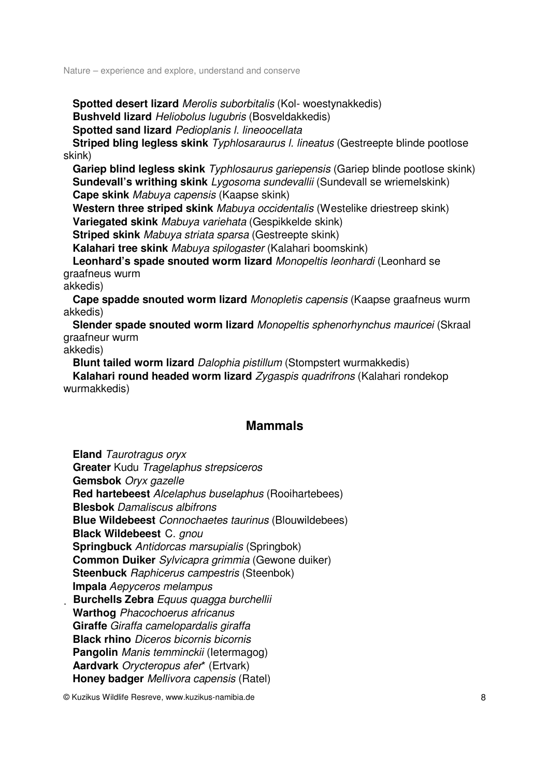**Spotted desert lizard** Merolis suborbitalis (Kol- woestynakkedis) **Bushveld lizard** Heliobolus lugubris (Bosveldakkedis) **Spotted sand lizard** Pedioplanis l. lineoocellata

**Striped bling legless skink** *Typhlosaraurus I. lineatus* (Gestreepte blinde pootlose skink)

 **Gariep blind legless skink** Typhlosaurus gariepensis (Gariep blinde pootlose skink) **Sundevall's writhing skink** Lygosoma sundevallii (Sundevall se wriemelskink) **Cape skink** Mabuya capensis (Kaapse skink)

 **Western three striped skink** Mabuya occidentalis (Westelike driestreep skink) **Variegated skink** Mabuya variehata (Gespikkelde skink)

**Striped skink** Mabuya striata sparsa (Gestreepte skink)

**Kalahari tree skink** Mabuya spilogaster (Kalahari boomskink)

 **Leonhard's spade snouted worm lizard** Monopeltis leonhardi (Leonhard se graafneus wurm

akkedis)

 **Cape spadde snouted worm lizard** Monopletis capensis (Kaapse graafneus wurm akkedis)

 **Slender spade snouted worm lizard** Monopeltis sphenorhynchus mauricei (Skraal graafneur wurm

akkedis)

**Blunt tailed worm lizard** Dalophia pistillum (Stompstert wurmakkedis)

 **Kalahari round headed worm lizard** Zygaspis quadrifrons (Kalahari rondekop wurmakkedis)

# **Mammals**

 **Eland** Taurotragus oryx **Greater** Kudu Tragelaphus strepsiceros **Gemsbok** Oryx gazelle **Red hartebeest** Alcelaphus buselaphus (Rooihartebees) **Blesbok** Damaliscus albifrons **Blue Wildebeest** Connochaetes taurinus (Blouwildebees) **Black Wildebeest** C. gnou **Springbuck** Antidorcas marsupialis (Springbok) **Common Duiker** Sylvicapra grimmia (Gewone duiker) **Steenbuck** Raphicerus campestris (Steenbok) **Impala** Aepyceros melampus **Burchells Zebra** Equus quagga burchellii **Warthog** Phacochoerus africanus **Giraffe** Giraffa camelopardalis giraffa **Black rhino** Diceros bicornis bicornis **Pangolin** Manis temminckii (Ietermagog) **Aardvark** Orycteropus afer\* (Ertvark) **Honey badger** Mellivora capensis (Ratel)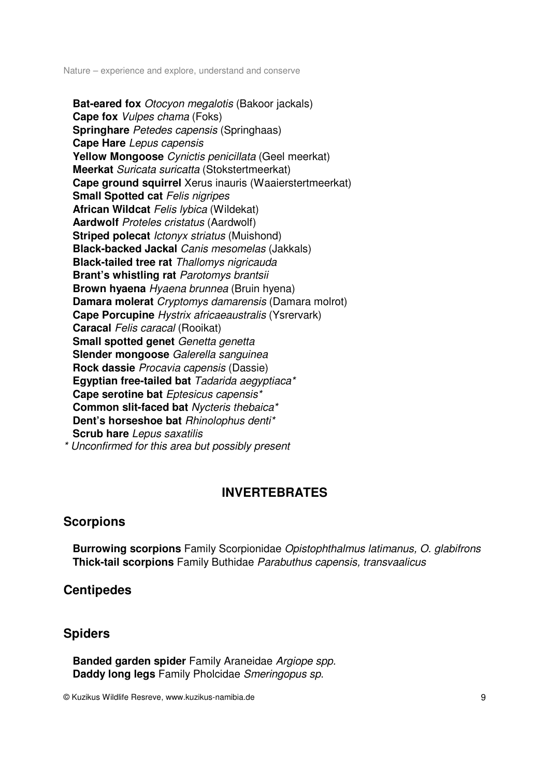**Bat-eared fox** Otocyon megalotis (Bakoor jackals) **Cape fox** Vulpes chama (Foks) **Springhare** Petedes capensis (Springhaas) **Cape Hare** Lepus capensis **Yellow Mongoose** Cynictis penicillata (Geel meerkat) **Meerkat** Suricata suricatta (Stokstertmeerkat) **Cape ground squirrel** Xerus inauris (Waaierstertmeerkat) **Small Spotted cat Felis nigripes African Wildcat Felis lybica (Wildekat) Aardwolf** Proteles cristatus (Aardwolf) **Striped polecat** *Ictonyx striatus* (Muishond) **Black-backed Jackal** Canis mesomelas (Jakkals) **Black-tailed tree rat** Thallomys nigricauda **Brant's whistling rat Parotomys brantsii Brown hyaena** *Hyaena brunnea* (Bruin hyena) **Damara molerat** Cryptomys damarensis (Damara molrot) **Cape Porcupine** Hystrix africaeaustralis (Ysrervark) **Caracal** Felis caracal (Rooikat) **Small spotted genet** Genetta genetta **Slender mongoose** Galerella sanguinea **Rock dassie** Procavia capensis (Dassie) **Egyptian free-tailed bat** Tadarida aegyptiaca\* **Cape serotine bat** Eptesicus capensis\* **Common slit-faced bat** Nycteris thebaica\* Dent's horseshoe bat **Rhinolophus denti\* Scrub hare** Lepus saxatilis \* Unconfirmed for this area but possibly present

# **INVERTEBRATES**

# **Scorpions**

 **Burrowing scorpions** Family Scorpionidae Opistophthalmus latimanus, O. glabifrons **Thick-tail scorpions** Family Buthidae Parabuthus capensis, transvaalicus

# **Centipedes**

# **Spiders**

 **Banded garden spider** Family Araneidae Argiope spp. **Daddy long legs** Family Pholcidae Smeringopus sp.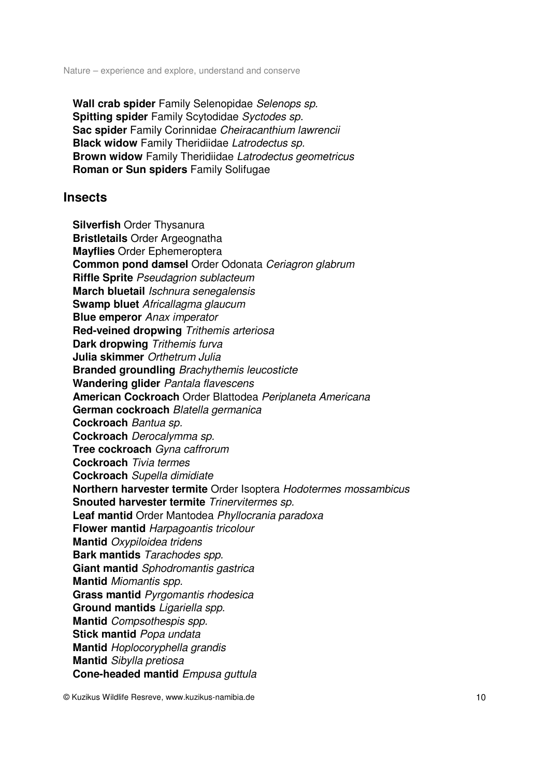**Wall crab spider** Family Selenopidae Selenops sp. **Spitting spider** Family Scytodidae Syctodes sp. **Sac spider** Family Corinnidae Cheiracanthium lawrencii **Black widow** Family Theridiidae Latrodectus sp. **Brown widow** Family Theridiidae Latrodectus geometricus **Roman or Sun spiders** Family Solifugae

## **Insects**

 **Silverfish** Order Thysanura **Bristletails** Order Argeognatha **Mayflies** Order Ephemeroptera **Common pond damsel** Order Odonata Ceriagron glabrum **Riffle Sprite** Pseudagrion sublacteum **March bluetail** Ischnura senegalensis **Swamp bluet** Africallagma glaucum **Blue emperor** Anax imperator **Red-veined dropwing** Trithemis arteriosa **Dark dropwing** Trithemis furva **Julia skimmer** Orthetrum Julia **Branded groundling** Brachythemis leucosticte **Wandering glider** Pantala flavescens **American Cockroach** Order Blattodea Periplaneta Americana **German cockroach** Blatella germanica **Cockroach** Bantua sp. **Cockroach** Derocalymma sp. **Tree cockroach** Gyna caffrorum **Cockroach** Tivia termes **Cockroach** Supella dimidiate **Northern harvester termite** Order Isoptera Hodotermes mossambicus **Snouted harvester termite** Trinervitermes sp. **Leaf mantid** Order Mantodea Phyllocrania paradoxa **Flower mantid** Harpagoantis tricolour **Mantid** Oxypiloidea tridens **Bark mantids** Tarachodes spp. **Giant mantid** Sphodromantis gastrica **Mantid** Miomantis spp. **Grass mantid** Pyrgomantis rhodesica **Ground mantids** Ligariella spp. **Mantid** Compsothespis spp. **Stick mantid** Popa undata **Mantid** Hoplocoryphella grandis **Mantid** Sibylla pretiosa **Cone-headed mantid** Empusa guttula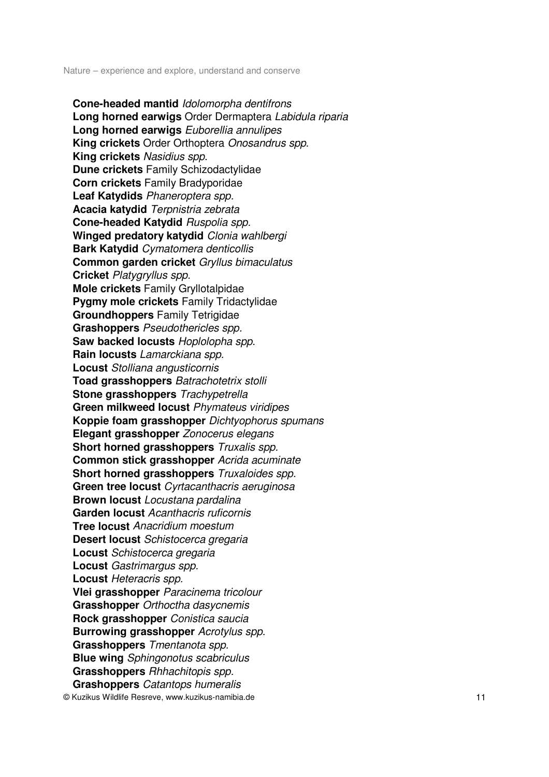© Kuzikus Wildlife Resreve, www.kuzikus-namibia.de 11 **Cone-headed mantid** Idolomorpha dentifrons **Long horned earwigs** Order Dermaptera Labidula riparia **Long horned earwigs** Euborellia annulipes **King crickets** Order Orthoptera Onosandrus spp. **King crickets** Nasidius spp. **Dune crickets** Family Schizodactylidae **Corn crickets** Family Bradyporidae **Leaf Katydids** Phaneroptera spp. **Acacia katydid** Terpnistria zebrata **Cone-headed Katydid** Ruspolia spp. **Winged predatory katydid** Clonia wahlbergi **Bark Katydid** Cymatomera denticollis **Common garden cricket** Gryllus bimaculatus **Cricket** Platygryllus spp. **Mole crickets** Family Gryllotalpidae **Pygmy mole crickets** Family Tridactylidae **Groundhoppers** Family Tetrigidae **Grashoppers** Pseudothericles spp. **Saw backed locusts** Hoplolopha spp. **Rain locusts** Lamarckiana spp. **Locust** Stolliana angusticornis **Toad grasshoppers** Batrachotetrix stolli **Stone grasshoppers** Trachypetrella **Green milkweed locust** Phymateus viridipes **Koppie foam grasshopper** Dichtyophorus spumans **Elegant grasshopper** Zonocerus elegans **Short horned grasshoppers** Truxalis spp. **Common stick grasshopper** Acrida acuminate **Short horned grasshoppers** Truxaloides spp. **Green tree locust** Cyrtacanthacris aeruginosa **Brown locust** Locustana pardalina **Garden locust** Acanthacris ruficornis **Tree locust** Anacridium moestum **Desert locust** Schistocerca gregaria **Locust** Schistocerca gregaria **Locust** Gastrimargus spp. **Locust** Heteracris spp. **Vlei grasshopper** Paracinema tricolour **Grasshopper** Orthoctha dasycnemis **Rock grasshopper** Conistica saucia **Burrowing grasshopper** Acrotylus spp. **Grasshoppers** Tmentanota spp. **Blue wing** Sphingonotus scabriculus **Grasshoppers** Rhhachitopis spp. **Grashoppers** Catantops humeralis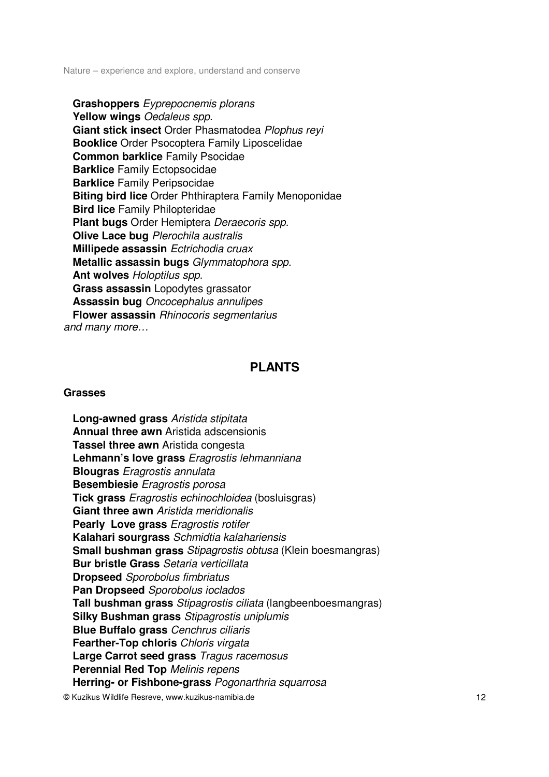**Grashoppers** Eyprepocnemis plorans **Yellow wings** Oedaleus spp. **Giant stick insect** Order Phasmatodea Plophus reyi **Booklice** Order Psocoptera Family Liposcelidae **Common barklice** Family Psocidae **Barklice** Family Ectopsocidae **Barklice** Family Peripsocidae **Biting bird lice** Order Phthiraptera Family Menoponidae **Bird lice** Family Philopteridae **Plant bugs** Order Hemiptera Deraecoris spp. **Olive Lace bug** Plerochila australis **Millipede assassin** Ectrichodia cruax **Metallic assassin bugs** Glymmatophora spp. **Ant wolves** Holoptilus spp. **Grass assassin** Lopodytes grassator **Assassin bug** Oncocephalus annulipes **Flower assassin** Rhinocoris segmentarius and many more…

# **PLANTS**

#### **Grasses**

 **Long-awned grass** Aristida stipitata **Annual three awn** Aristida adscensionis **Tassel three awn** Aristida congesta **Lehmann's love grass** Eragrostis lehmanniana **Blougras** Eragrostis annulata **Besembiesie** Eragrostis porosa **Tick grass** Eragrostis echinochloidea (bosluisgras) **Giant three awn** Aristida meridionalis **Pearly Love grass** Eragrostis rotifer **Kalahari sourgrass** Schmidtia kalahariensis **Small bushman grass** Stipagrostis obtusa (Klein boesmangras) **Bur bristle Grass** Setaria verticillata **Dropseed** Sporobolus fimbriatus **Pan Dropseed** Sporobolus ioclados **Tall bushman grass** Stipagrostis ciliata (langbeenboesmangras) **Silky Bushman grass** Stipagrostis uniplumis **Blue Buffalo grass** Cenchrus ciliaris **Fearther-Top chloris** Chloris virgata **Large Carrot seed grass** Tragus racemosus **Perennial Red Top** Melinis repens **Herring- or Fishbone-grass** Pogonarthria squarrosa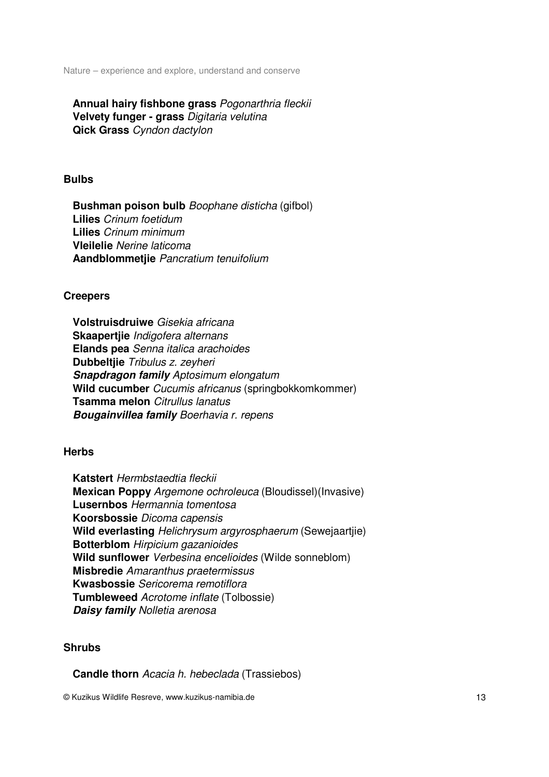**Annual hairy fishbone grass** Pogonarthria fleckii **Velvety funger - grass** Digitaria velutina **Qick Grass** Cyndon dactylon

#### **Bulbs**

 **Bushman poison bulb** Boophane disticha (gifbol) **Lilies** Crinum foetidum **Lilies** Crinum minimum **Vleilelie** Nerine laticoma **Aandblommetjie** Pancratium tenuifolium

#### **Creepers**

 **Volstruisdruiwe** Gisekia africana **Skaapertjie** Indigofera alternans **Elands pea** Senna italica arachoides **Dubbeltjie** Tribulus z. zeyheri **Snapdragon family** Aptosimum elongatum **Wild cucumber** Cucumis africanus (springbokkomkommer) **Tsamma melon** Citrullus lanatus **Bougainvillea family** Boerhavia r. repens

## **Herbs**

 **Katstert** Hermbstaedtia fleckii **Mexican Poppy** Argemone ochroleuca (Bloudissel)(Invasive) **Lusernbos** Hermannia tomentosa **Koorsbossie** Dicoma capensis **Wild everlasting** Helichrysum argyrosphaerum (Sewejaartjie) **Botterblom** Hirpicium gazanioides **Wild sunflower** Verbesina encelioides (Wilde sonneblom) **Misbredie** Amaranthus praetermissus **Kwasbossie** Sericorema remotiflora **Tumbleweed** Acrotome inflate (Tolbossie) **Daisy family** Nolletia arenosa

## **Shrubs**

**Candle thorn** Acacia h. hebeclada (Trassiebos)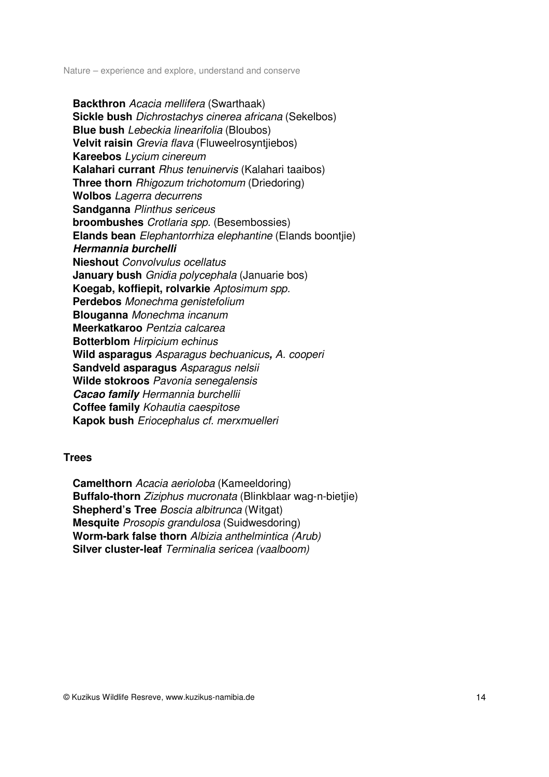**Backthron** Acacia mellifera (Swarthaak) **Sickle bush** Dichrostachys cinerea africana (Sekelbos) **Blue bush** Lebeckia linearifolia (Bloubos) **Velvit raisin** Grevia flava (Fluweelrosyntjiebos) **Kareebos** Lycium cinereum **Kalahari currant** Rhus tenuinervis (Kalahari taaibos) **Three thorn** Rhigozum trichotomum (Driedoring) **Wolbos** Lagerra decurrens **Sandganna** Plinthus sericeus **broombushes** Crotlaria spp. (Besembossies) **Elands bean** Elephantorrhiza elephantine (Elands boontjie) **Hermannia burchelli Nieshout** Convolvulus ocellatus **January bush** Gnidia polycephala (Januarie bos) **Koegab, koffiepit, rolvarkie** Aptosimum spp. **Perdebos** Monechma genistefolium **Blouganna** Monechma incanum **Meerkatkaroo** Pentzia calcarea **Botterblom** Hirpicium echinus **Wild asparagus** Asparagus bechuanicus**,** A. cooperi **Sandveld asparagus** Asparagus nelsii **Wilde stokroos** Pavonia senegalensis **Cacao family** Hermannia burchellii **Coffee family** Kohautia caespitose **Kapok bush** Eriocephalus cf. merxmuelleri

## **Trees**

 **Camelthorn** Acacia aerioloba (Kameeldoring) **Buffalo-thorn** Ziziphus mucronata (Blinkblaar wag-n-bietjie) **Shepherd's Tree Boscia albitrunca (Witgat) Mesquite** Prosopis grandulosa (Suidwesdoring) **Worm-bark false thorn** Albizia anthelmintica (Arub) **Silver cluster-leaf** Terminalia sericea (vaalboom)